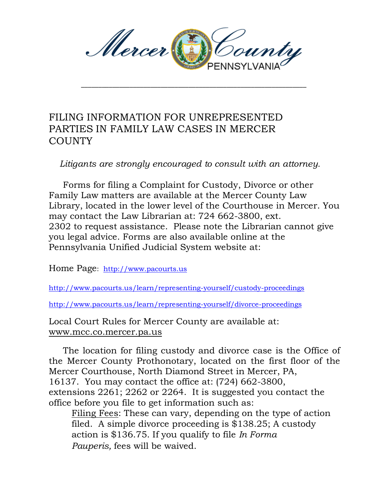

\_\_\_\_\_\_\_\_\_\_\_\_\_\_\_\_\_\_\_\_\_\_\_\_\_\_\_\_\_\_\_\_\_\_\_\_\_\_\_\_\_\_\_\_\_\_\_\_\_\_\_\_\_\_\_\_\_\_\_\_\_\_\_\_\_

## FILING INFORMATION FOR UNREPRESENTED PARTIES IN FAMILY LAW CASES IN MERCER **COUNTY**

*Litigants are strongly encouraged to consult with an attorney.*

Forms for filing a Complaint for Custody, Divorce or other Family Law matters are available at the Mercer County Law Library, located in the lower level of the Courthouse in Mercer. You may contact the Law Librarian at: 724 662-3800, ext. 2302 to request assistance. Please note the Librarian cannot give you legal advice. Forms are also available online at the Pennsylvania Unified Judicial System website at:

Home Page: [http://www.pacourts.us](http://www.pacourts.us/)

<http://www.pacourts.us/learn/representing-yourself/custody-proceedings>

<http://www.pacourts.us/learn/representing-yourself/divorce-proceedings>

Local Court Rules for Mercer County are available at: [www.mcc.co.mercer.pa.us](http://www.mcc.co.mercer.pa.us/)

The location for filing custody and divorce case is the Office of the Mercer County Prothonotary, located on the first floor of the Mercer Courthouse, North Diamond Street in Mercer, PA, 16137. You may contact the office at: (724) 662-3800, extensions 2261; 2262 or 2264. It is suggested you contact the office before you file to get information such as:

Filing Fees: These can vary, depending on the type of action filed. A simple divorce proceeding is \$138.25; A custody action is \$136.75. If you qualify to file *In Forma Pauperis,* fees will be waived.